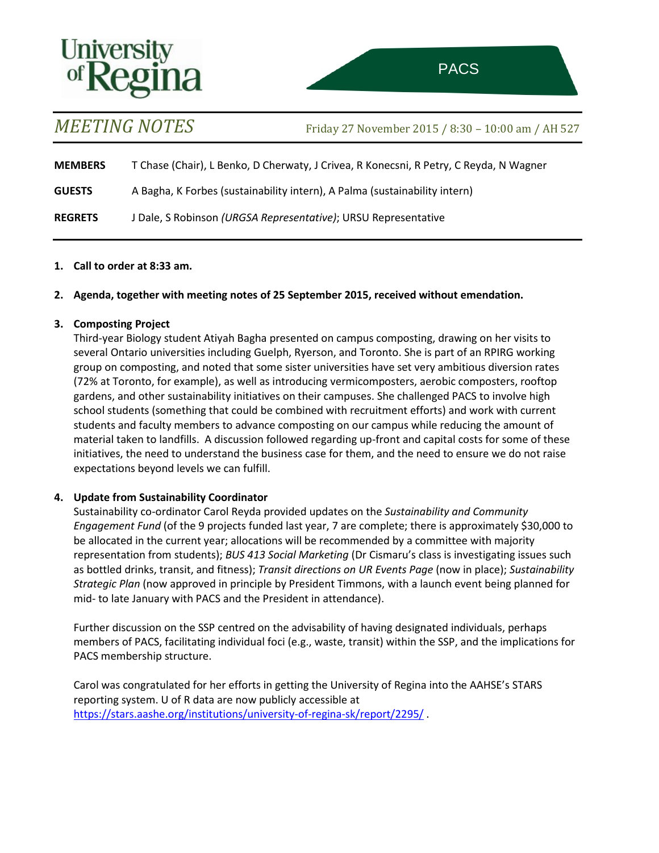# Universi

*MEETING NOTES* Friday <sup>27</sup> November <sup>2015</sup> / 8:30 – 10:00 am / AH 527

l,

**MEMBERS** T Chase (Chair), L Benko, D Cherwaty, J Crivea, R Konecsni, R Petry, C Reyda, N Wagner **GUESTS** A Bagha, K Forbes (sustainability intern), A Palma (sustainability intern)

**REGRETS** J Dale, S Robinson *(URGSA Representative)*; URSU Representative

## **1. Call to order at 8:33 am.**

## **2. Agenda, together with meeting notes of 25 September 2015, received without emendation.**

## **3. Composting Project**

Third-year Biology student Atiyah Bagha presented on campus composting, drawing on her visits to several Ontario universities including Guelph, Ryerson, and Toronto. She is part of an RPIRG working group on composting, and noted that some sister universities have set very ambitious diversion rates (72% at Toronto, for example), as well as introducing vermicomposters, aerobic composters, rooftop gardens, and other sustainability initiatives on their campuses. She challenged PACS to involve high school students (something that could be combined with recruitment efforts) and work with current students and faculty members to advance composting on our campus while reducing the amount of material taken to landfills. A discussion followed regarding up-front and capital costs for some of these initiatives, the need to understand the business case for them, and the need to ensure we do not raise expectations beyond levels we can fulfill.

# **4. Update from Sustainability Coordinator**

Sustainability co-ordinator Carol Reyda provided updates on the *Sustainability and Community Engagement Fund* (of the 9 projects funded last year, 7 are complete; there is approximately \$30,000 to be allocated in the current year; allocations will be recommended by a committee with majority representation from students); *BUS 413 Social Marketing* (Dr Cismaru's class is investigating issues such as bottled drinks, transit, and fitness); *Transit directions on UR Events Page* (now in place); *Sustainability Strategic Plan* (now approved in principle by President Timmons, with a launch event being planned for mid- to late January with PACS and the President in attendance).

Further discussion on the SSP centred on the advisability of having designated individuals, perhaps members of PACS, facilitating individual foci (e.g., waste, transit) within the SSP, and the implications for PACS membership structure.

Carol was congratulated for her efforts in getting the University of Regina into the AAHSE's STARS reporting system. U of R data are now publicly accessible at <https://stars.aashe.org/institutions/university-of-regina-sk/report/2295/>.